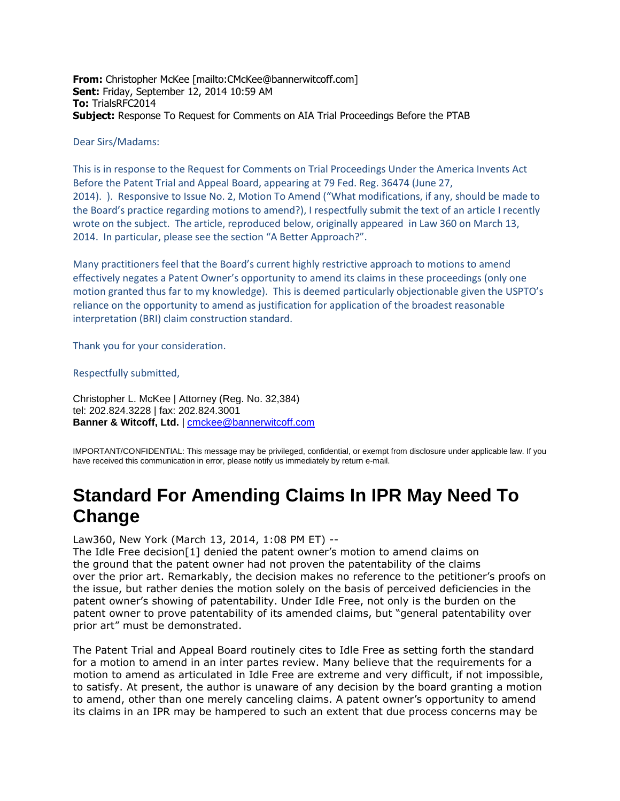**From:** Christopher McKee [mailto:CMcKee@bannerwitcoff.com] **Sent:** Friday, September 12, 2014 10:59 AM **To:** TrialsRFC2014 **Subject:** Response To Request for Comments on AIA Trial Proceedings Before the PTAB

#### Dear Sirs/Madams:

This is in response to the Request for Comments on Trial Proceedings Under the America Invents Act Before the Patent Trial and Appeal Board, appearing at 79 Fed. Reg. 36474 (June 27, 2014). ). Responsive to Issue No. 2, Motion To Amend ("What modifications, if any, should be made to the Board's practice regarding motions to amend?), I respectfully submit the text of an article I recently wrote on the subject. The article, reproduced below, originally appeared in Law 360 on March 13, 2014. In particular, please see the section "A Better Approach?".

Many practitioners feel that the Board's current highly restrictive approach to motions to amend effectively negates a Patent Owner's opportunity to amend its claims in these proceedings (only one motion granted thus far to my knowledge). This is deemed particularly objectionable given the USPTO's reliance on the opportunity to amend as justification for application of the broadest reasonable interpretation (BRI) claim construction standard.

Thank you for your consideration.

#### Respectfully submitted,

Christopher L. McKee | Attorney (Reg. No. 32,384) tel: 202.824.3228 | fax: 202.824.3001 **Banner & Witcoff, Ltd.** | [cmckee@bannerwitcoff.com](mailto:cmckee@bannerwitcoff.com)

IMPORTANT/CONFIDENTIAL: This message may be privileged, confidential, or exempt from disclosure under applicable law. If you have received this communication in error, please notify us immediately by return e-mail.

# **Standard For Amending Claims In IPR May Need To Change**

Law360, New York (March 13, 2014, 1:08 PM ET) --

The Idle Free decision[1] denied the patent owner's motion to amend claims on the ground that the patent owner had not proven the patentability of the claims over the prior art. Remarkably, the decision makes no reference to the petitioner's proofs on the issue, but rather denies the motion solely on the basis of perceived deficiencies in the patent owner's showing of patentability. Under Idle Free, not only is the burden on the patent owner to prove patentability of its amended claims, but "general patentability over prior art" must be demonstrated.

The Patent Trial and Appeal Board routinely cites to Idle Free as setting forth the standard for a motion to amend in an inter partes review. Many believe that the requirements for a motion to amend as articulated in Idle Free are extreme and very difficult, if not impossible, to satisfy. At present, the author is unaware of any decision by the board granting a motion to amend, other than one merely canceling claims. A patent owner's opportunity to amend its claims in an IPR may be hampered to such an extent that due process concerns may be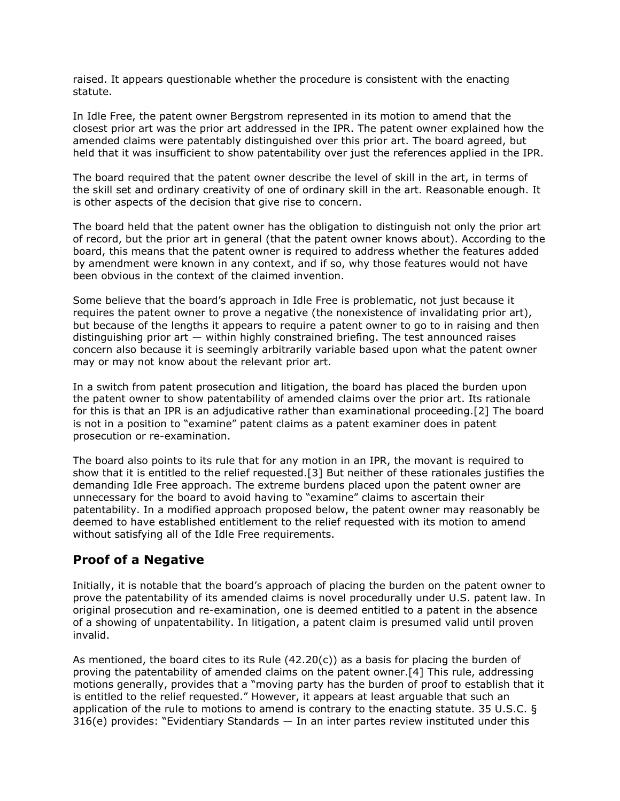raised. It appears questionable whether the procedure is consistent with the enacting statute.

In Idle Free, the patent owner Bergstrom represented in its motion to amend that the closest prior art was the prior art addressed in the IPR. The patent owner explained how the amended claims were patentably distinguished over this prior art. The board agreed, but held that it was insufficient to show patentability over just the references applied in the IPR.

The board required that the patent owner describe the level of skill in the art, in terms of the skill set and ordinary creativity of one of ordinary skill in the art. Reasonable enough. It is other aspects of the decision that give rise to concern.

The board held that the patent owner has the obligation to distinguish not only the prior art of record, but the prior art in general (that the patent owner knows about). According to the board, this means that the patent owner is required to address whether the features added by amendment were known in any context, and if so, why those features would not have been obvious in the context of the claimed invention.

Some believe that the board's approach in Idle Free is problematic, not just because it requires the patent owner to prove a negative (the nonexistence of invalidating prior art), but because of the lengths it appears to require a patent owner to go to in raising and then distinguishing prior art  $-$  within highly constrained briefing. The test announced raises concern also because it is seemingly arbitrarily variable based upon what the patent owner may or may not know about the relevant prior art.

In a switch from patent prosecution and litigation, the board has placed the burden upon the patent owner to show patentability of amended claims over the prior art. Its rationale for this is that an IPR is an adjudicative rather than examinational proceeding.[2] The board is not in a position to "examine" patent claims as a patent examiner does in patent prosecution or re-examination.

The board also points to its rule that for any motion in an IPR, the movant is required to show that it is entitled to the relief requested.[3] But neither of these rationales justifies the demanding Idle Free approach. The extreme burdens placed upon the patent owner are unnecessary for the board to avoid having to "examine" claims to ascertain their patentability. In a modified approach proposed below, the patent owner may reasonably be deemed to have established entitlement to the relief requested with its motion to amend without satisfying all of the Idle Free requirements.

## **Proof of a Negative**

Initially, it is notable that the board's approach of placing the burden on the patent owner to prove the patentability of its amended claims is novel procedurally under U.S. patent law. In original prosecution and re-examination, one is deemed entitled to a patent in the absence of a showing of unpatentability. In litigation, a patent claim is presumed valid until proven invalid.

As mentioned, the board cites to its Rule  $(42.20(c))$  as a basis for placing the burden of proving the patentability of amended claims on the patent owner.[4] This rule, addressing motions generally, provides that a "moving party has the burden of proof to establish that it is entitled to the relief requested." However, it appears at least arguable that such an application of the rule to motions to amend is contrary to the enacting statute. 35 U.S.C. §  $316(e)$  provides: "Evidentiary Standards  $-$  In an inter partes review instituted under this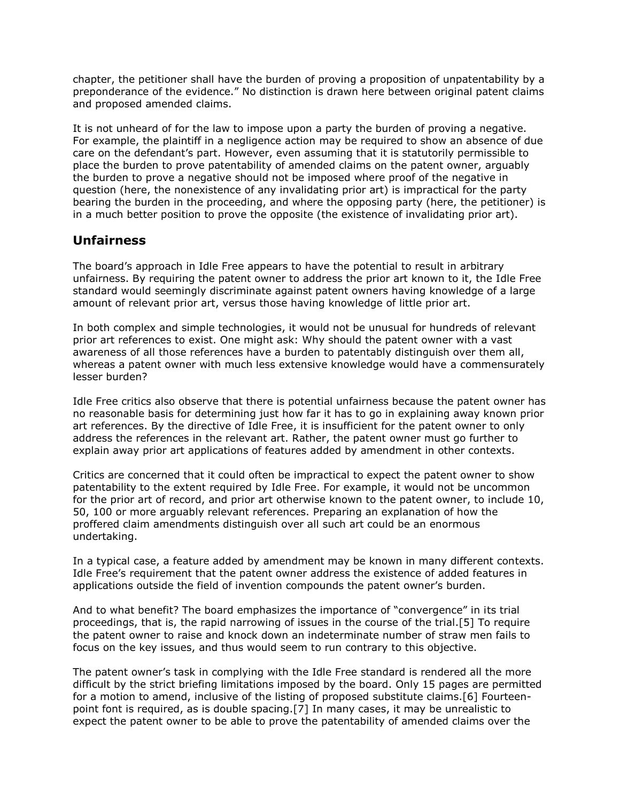chapter, the petitioner shall have the burden of proving a proposition of unpatentability by a preponderance of the evidence." No distinction is drawn here between original patent claims and proposed amended claims.

It is not unheard of for the law to impose upon a party the burden of proving a negative. For example, the plaintiff in a negligence action may be required to show an absence of due care on the defendant's part. However, even assuming that it is statutorily permissible to place the burden to prove patentability of amended claims on the patent owner, arguably the burden to prove a negative should not be imposed where proof of the negative in question (here, the nonexistence of any invalidating prior art) is impractical for the party bearing the burden in the proceeding, and where the opposing party (here, the petitioner) is in a much better position to prove the opposite (the existence of invalidating prior art).

## **Unfairness**

The board's approach in Idle Free appears to have the potential to result in arbitrary unfairness. By requiring the patent owner to address the prior art known to it, the Idle Free standard would seemingly discriminate against patent owners having knowledge of a large amount of relevant prior art, versus those having knowledge of little prior art.

In both complex and simple technologies, it would not be unusual for hundreds of relevant prior art references to exist. One might ask: Why should the patent owner with a vast awareness of all those references have a burden to patentably distinguish over them all, whereas a patent owner with much less extensive knowledge would have a commensurately lesser burden?

Idle Free critics also observe that there is potential unfairness because the patent owner has no reasonable basis for determining just how far it has to go in explaining away known prior art references. By the directive of Idle Free, it is insufficient for the patent owner to only address the references in the relevant art. Rather, the patent owner must go further to explain away prior art applications of features added by amendment in other contexts.

Critics are concerned that it could often be impractical to expect the patent owner to show patentability to the extent required by Idle Free. For example, it would not be uncommon for the prior art of record, and prior art otherwise known to the patent owner, to include 10, 50, 100 or more arguably relevant references. Preparing an explanation of how the proffered claim amendments distinguish over all such art could be an enormous undertaking.

In a typical case, a feature added by amendment may be known in many different contexts. Idle Free's requirement that the patent owner address the existence of added features in applications outside the field of invention compounds the patent owner's burden.

And to what benefit? The board emphasizes the importance of "convergence" in its trial proceedings, that is, the rapid narrowing of issues in the course of the trial.[5] To require the patent owner to raise and knock down an indeterminate number of straw men fails to focus on the key issues, and thus would seem to run contrary to this objective.

The patent owner's task in complying with the Idle Free standard is rendered all the more difficult by the strict briefing limitations imposed by the board. Only 15 pages are permitted for a motion to amend, inclusive of the listing of proposed substitute claims.[6] Fourteenpoint font is required, as is double spacing.[7] In many cases, it may be unrealistic to expect the patent owner to be able to prove the patentability of amended claims over the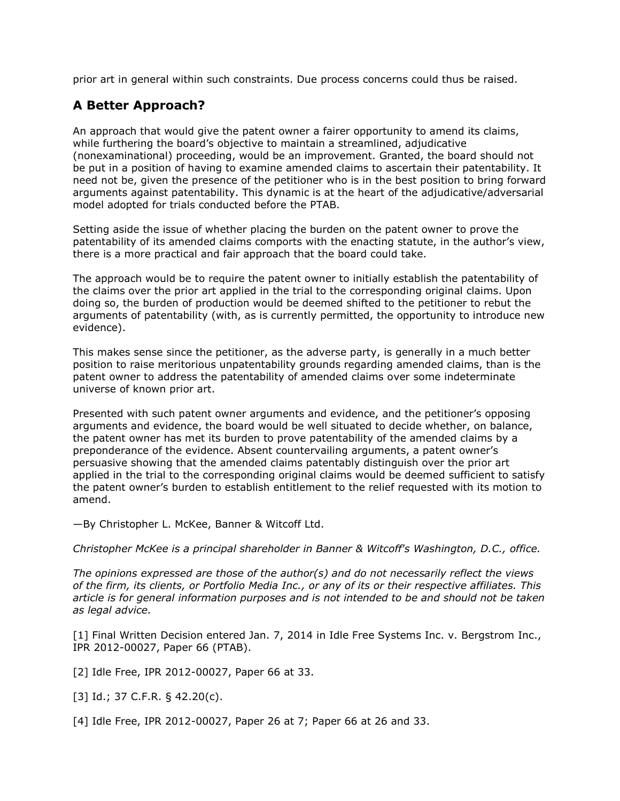prior art in general within such constraints. Due process concerns could thus be raised.

## **A Better Approach?**

An approach that would give the patent owner a fairer opportunity to amend its claims, while furthering the board's objective to maintain a streamlined, adjudicative (nonexaminational) proceeding, would be an improvement. Granted, the board should not be put in a position of having to examine amended claims to ascertain their patentability. It need not be, given the presence of the petitioner who is in the best position to bring forward arguments against patentability. This dynamic is at the heart of the adjudicative/adversarial model adopted for trials conducted before the PTAB.

Setting aside the issue of whether placing the burden on the patent owner to prove the patentability of its amended claims comports with the enacting statute, in the author's view, there is a more practical and fair approach that the board could take.

The approach would be to require the patent owner to initially establish the patentability of the claims over the prior art applied in the trial to the corresponding original claims. Upon doing so, the burden of production would be deemed shifted to the petitioner to rebut the arguments of patentability (with, as is currently permitted, the opportunity to introduce new evidence).

This makes sense since the petitioner, as the adverse party, is generally in a much better position to raise meritorious unpatentability grounds regarding amended claims, than is the patent owner to address the patentability of amended claims over some indeterminate universe of known prior art.

Presented with such patent owner arguments and evidence, and the petitioner's opposing arguments and evidence, the board would be well situated to decide whether, on balance, the patent owner has met its burden to prove patentability of the amended claims by a preponderance of the evidence. Absent countervailing arguments, a patent owner's persuasive showing that the amended claims patentably distinguish over the prior art applied in the trial to the corresponding original claims would be deemed sufficient to satisfy the patent owner's burden to establish entitlement to the relief requested with its motion to amend.

—By Christopher L. McKee, Banner [& Witcoff Ltd.](http://www.law360.com/firm/banner-witcoff)

*[Christopher McKee](http://www.bannerwitcoff.com/cmckee/) is a principal shareholder in Banner & Witcoff's Washington, D.C., office.*

*The opinions expressed are those of the author(s) and do not necessarily reflect the views of the firm, its clients, or Portfolio Media Inc., or any of its or their respective affiliates. This article is for general information purposes and is not intended to be and should not be taken as legal advice.*

[1] Final Written Decision entered Jan. 7, 2014 in Idle Free Systems Inc. v. [Bergstrom Inc.](http://www.law360.com/company/bergstrom-inc), IPR 2012-00027, Paper 66 (PTAB).

[2] Idle Free, IPR 2012-00027, Paper 66 at 33.

[3] Id.; 37 C.F.R. § 42.20(c).

[4] Idle Free, IPR 2012-00027, Paper 26 at 7; Paper 66 at 26 and 33.